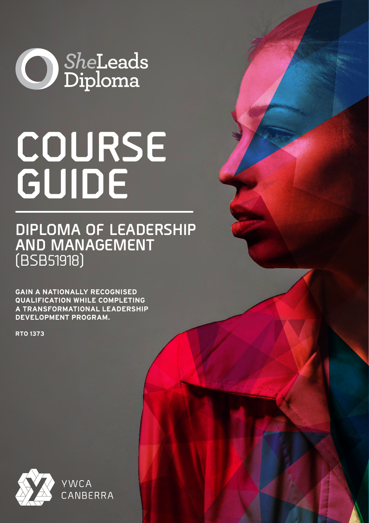

# **COURSE GUIDE**

**DIPLOMA OF LEADERSHIP AND MANAGEMENT**  (BSB51918)

**GAIN A NATIONALLY RECOGNISED QUALIFICATION WHILE COMPLETING A TRANSFORMATIONAL LEADERSHIP DEVELOPMENT PROGRAM.**

**RTO 1373**

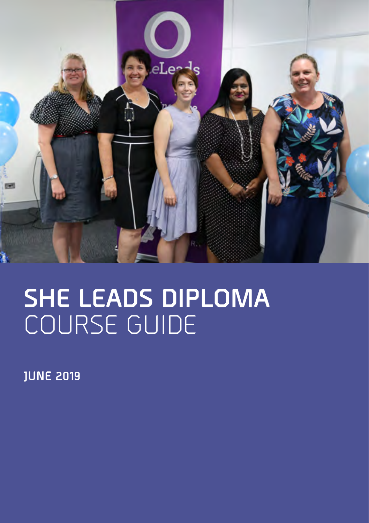

## **SHE LEADS DIPLOMA**  COURSE GUIDE

**JUNE 2019**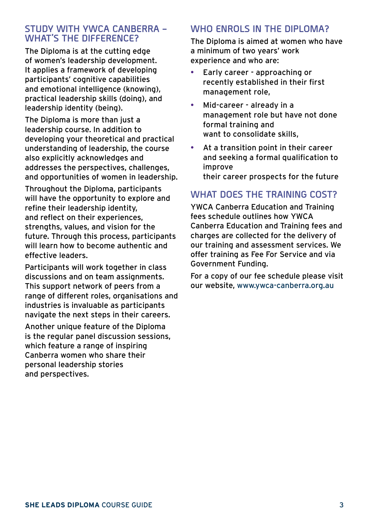#### **STUDY WITH YWCA CANBERRA – WHAT'S THE DIFFERENCE?**

The Diploma is at the cutting edge of women's leadership development. It applies a framework of developing participants' cognitive capabilities and emotional intelligence (knowing), practical leadership skills (doing), and leadership identity (being).

The Diploma is more than just a leadership course. In addition to developing your theoretical and practical understanding of leadership, the course also explicitly acknowledges and addresses the perspectives, challenges, and opportunities of women in leadership.

Throughout the Diploma, participants will have the opportunity to explore and refine their leadership identity, and reflect on their experiences, strengths, values, and vision for the future. Through this process, participants will learn how to become authentic and effective leaders.

Participants will work together in class discussions and on team assignments. This support network of peers from a range of different roles, organisations and industries is invaluable as participants navigate the next steps in their careers.

Another unique feature of the Diploma is the regular panel discussion sessions, which feature a range of inspiring Canberra women who share their personal leadership stories and perspectives.

#### **WHO ENROLS IN THE DIPLOMA?**

The Diploma is aimed at women who have a minimum of two years' work experience and who are:

- Early career approaching or recently established in their first management role,
- Mid-career already in a management role but have not done formal training and want to consolidate skills,
- At a transition point in their career and seeking a formal qualification to improve their career prospects for the future

#### **WHAT DOES THE TRAINING COST?**

YWCA Canberra Education and Training fees schedule outlines how YWCA Canberra Education and Training fees and charges are collected for the delivery of our training and assessment services. We offer training as Fee For Service and via Government Funding.

For a copy of our fee schedule please visit our website, www.ywca-canberra.org.au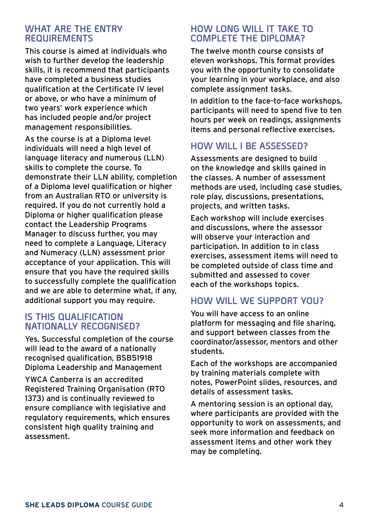#### **WHAT ARE THE ENTRY REQUIREMENTS**

This course is aimed at individuals who wish to further develop the leadership skills, it is recommend that participants have completed a business studies qualification at the Certificate IV level or above, or who have a minimum of two years' work experience which has included people and/or project management responsibilities.

As the course is at a Diploma level individuals will need a high level of language literacy and numerous (LLN) skills to complete the course. To demonstrate their LLN ability, completion of a Diploma level qualification or higher from an Australian RTO or university is required. If you do not currently hold a Diploma or higher qualification please contact the Leadership Programs Manager to discuss further, you may need to complete a Language, Literacy and Numeracy (LLN) assessment prior acceptance of your application. This will ensure that you have the required skills to successfully complete the qualification and we are able to determine what, if any, additional support you may require.

#### **IS THIS QUALIFICATION NATIONALLY RECOGNISED?**

Yes. Successful completion of the course will lead to the award of a nationally recognised qualification, BSB51918 Diploma Leadership and Management

YWCA Canberra is an accredited Registered Training Organisation (RTO 1373) and is continually reviewed to ensure compliance with legislative and regulatory requirements, which ensures consistent high quality training and assessment.

#### **HOW LONG WILL IT TAKE TO COMPLETE THE DIPLOMA?**

The twelve month course consists of eleven workshops. This format provides you with the opportunity to consolidate your learning in your workplace, and also complete assignment tasks.

In addition to the face-to-face workshops, participants will need to spend five to ten hours per week on readings, assignments items and personal reflective exercises.

#### **HOW WILL I BE ASSESSED?**

Assessments are designed to build on the knowledge and skills gained in the classes. A number of assessment methods are used, including case studies, role play, discussions, presentations, projects, and written tasks.

Each workshop will include exercises and discussions, where the assessor will observe your interaction and participation. In addition to in class exercises, assessment items will need to be completed outside of class time and submitted and assessed to cover each of the workshops topics.

#### **HOW WILL WE SUPPORT YOU?**

You will have access to an online platform for messaging and file sharing, and support between classes from the coordinator/assessor, mentors and other students.

Each of the workshops are accompanied by training materials complete with notes, PowerPoint slides, resources, and details of assessment tasks.

A mentoring session is an optional day, where participants are provided with the opportunity to work on assessments, and seek more information and feedback on assessment items and other work they may be completing.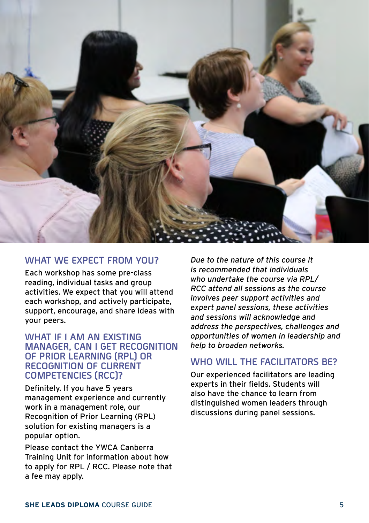

#### **WHAT WE EXPECT FROM YOU?**

Each workshop has some pre-class reading, individual tasks and group activities. We expect that you will attend each workshop, and actively participate, support, encourage, and share ideas with your peers.

#### **WHAT IF I AM AN EXISTING MANAGER, CAN I GET RECOGNITION OF PRIOR LEARNING (RPL) OR RECOGNITION OF CURRENT COMPETENCIES (RCC)?**

Definitely. If you have 5 years management experience and currently work in a management role, our Recognition of Prior Learning (RPL) solution for existing managers is a popular option.

Please contact the YWCA Canberra Training Unit for information about how to apply for RPL / RCC. Please note that a fee may apply.

*Due to the nature of this course it is recommended that individuals who undertake the course via RPL/ RCC attend all sessions as the course involves peer support activities and expert panel sessions, these activities and sessions will acknowledge and address the perspectives, challenges and opportunities of women in leadership and help to broaden networks.*

#### **WHO WILL THE FACILITATORS BE?**

Our experienced facilitators are leading experts in their fields. Students will also have the chance to learn from distinguished women leaders through discussions during panel sessions.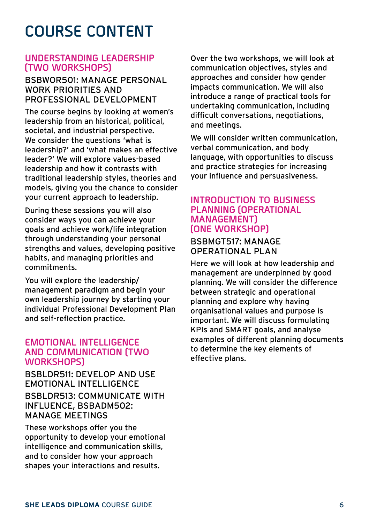## **COURSE CONTENT**

#### **UNDERSTANDING LEADERSHIP (TWO WORKSHOPS)**

#### BSBWOR501: MANAGE PERSONAL WORK PRIORITIES AND PROFESSIONAL DEVELOPMENT

The course begins by looking at women's leadership from an historical, political, societal, and industrial perspective. We consider the questions 'what is leadership?' and 'what makes an effective leader?' We will explore values-based leadership and how it contrasts with traditional leadership styles, theories and models, giving you the chance to consider your current approach to leadership.

During these sessions you will also consider ways you can achieve your goals and achieve work/life integration through understanding your personal strengths and values, developing positive habits, and managing priorities and commitments.

You will explore the leadership/ management paradigm and begin your own leadership journey by starting your individual Professional Development Plan and self-reflection practice.

#### **EMOTIONAL INTELLIGENCE AND COMMUNICATION (TWO WORKSHOPS)**

BSBLDR511: DEVELOP AND USE EMOTIONAL INTELLIGENCE BSBLDR513: COMMUNICATE WITH INFLUENCE, BSBADM502: MANAGE MEETINGS

These workshops offer you the opportunity to develop your emotional intelligence and communication skills, and to consider how your approach shapes your interactions and results.

Over the two workshops, we will look at communication objectives, styles and approaches and consider how gender impacts communication. We will also introduce a range of practical tools for undertaking communication, including difficult conversations, negotiations, and meetings.

We will consider written communication, verbal communication, and body language, with opportunities to discuss and practice strategies for increasing your influence and persuasiveness.

#### **INTRODUCTION TO BUSINESS PLANNING (OPERATIONAL MANAGEMENT) (ONE WORKSHOP)**

#### BSBMGT517: MANAGE OPERATIONAL PLAN

Here we will look at how leadership and management are underpinned by good planning. We will consider the difference between strategic and operational planning and explore why having organisational values and purpose is important. We will discuss formulating KPIs and SMART goals, and analyse examples of different planning documents to determine the key elements of effective plans.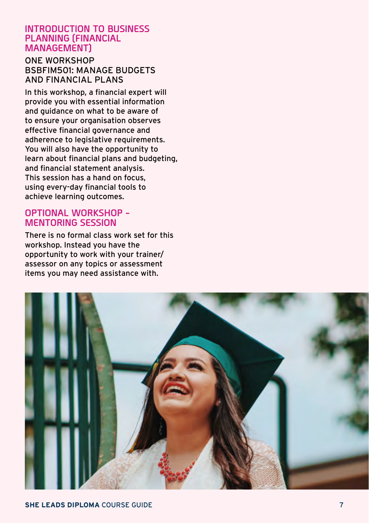#### **INTRODUCTION TO BUSINESS PLANNING (FINANCIAL MANAGEMENT)**

#### ONE WORKSHOP BSBFIM501: MANAGE BUDGETS AND FINANCIAL PLANS

In this workshop, a financial expert will provide you with essential information and guidance on what to be aware of to ensure your organisation observes effective financial governance and adherence to legislative requirements. You will also have the opportunity to learn about financial plans and budgeting, and financial statement analysis. This session has a hand on focus, using every-day financial tools to achieve learning outcomes.

#### **OPTIONAL WORKSHOP - MENTORING SESSION**

There is no formal class work set for this workshop. Instead you have the opportunity to work with your trainer/ assessor on any topics or assessment items you may need assistance with.

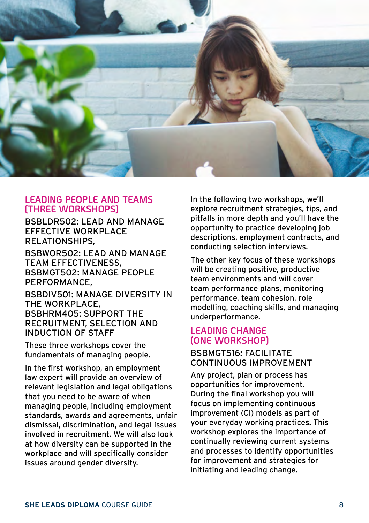

#### **LEADING PEOPLE AND TEAMS (THREE WORKSHOPS)**

BSBLDR502: LEAD AND MANAGE EFFECTIVE WORKPLACE RELATIONSHIPS,

BSBWOR502: LEAD AND MANAGE TEAM EFFECTIVENESS, BSBMGT502: MANAGE PEOPLE PERFORMANCE,

BSBDIV501: MANAGE DIVERSITY IN THE WORKPLACE, BSBHRM405: SUPPORT THE RECRUITMENT, SELECTION AND INDUCTION OF STAFF

These three workshops cover the fundamentals of managing people.

In the first workshop, an employment law expert will provide an overview of relevant legislation and legal obligations that you need to be aware of when managing people, including employment standards, awards and agreements, unfair dismissal, discrimination, and legal issues involved in recruitment. We will also look at how diversity can be supported in the workplace and will specifically consider issues around gender diversity.

In the following two workshops, we'll explore recruitment strategies, tips, and pitfalls in more depth and you'll have the opportunity to practice developing job descriptions, employment contracts, and conducting selection interviews.

The other key focus of these workshops will be creating positive, productive team environments and will cover team performance plans, monitoring performance, team cohesion, role modelling, coaching skills, and managing underperformance.

#### **LEADING CHANGE (ONE WORKSHOP)**

#### BSBMGT516: FACILITATE CONTINUOUS IMPROVEMENT

Any project, plan or process has opportunities for improvement. During the final workshop you will focus on implementing continuous improvement (CI) models as part of your everyday working practices. This workshop explores the importance of continually reviewing current systems and processes to identify opportunities for improvement and strategies for initiating and leading change.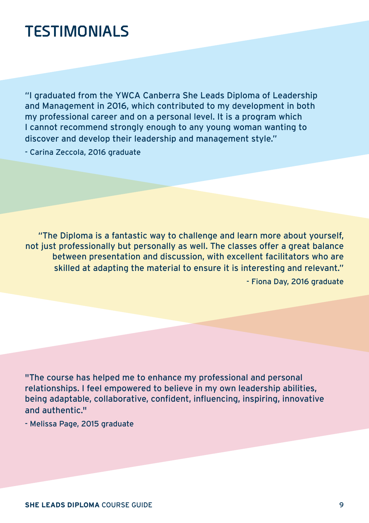### **TESTIMONIALS**

"I graduated from the YWCA Canberra She Leads Diploma of Leadership and Management in 2016, which contributed to my development in both my professional career and on a personal level. It is a program which I cannot recommend strongly enough to any young woman wanting to discover and develop their leadership and management style."

- Carina Zeccola, 2016 graduate

"The Diploma is a fantastic way to challenge and learn more about yourself, not just professionally but personally as well. The classes offer a great balance between presentation and discussion, with excellent facilitators who are skilled at adapting the material to ensure it is interesting and relevant." - Fiona Day, 2016 graduate

"The course has helped me to enhance my professional and personal relationships. I feel empowered to believe in my own leadership abilities, being adaptable, collaborative, confident, influencing, inspiring, innovative and authentic."

- Melissa Page, 2015 graduate